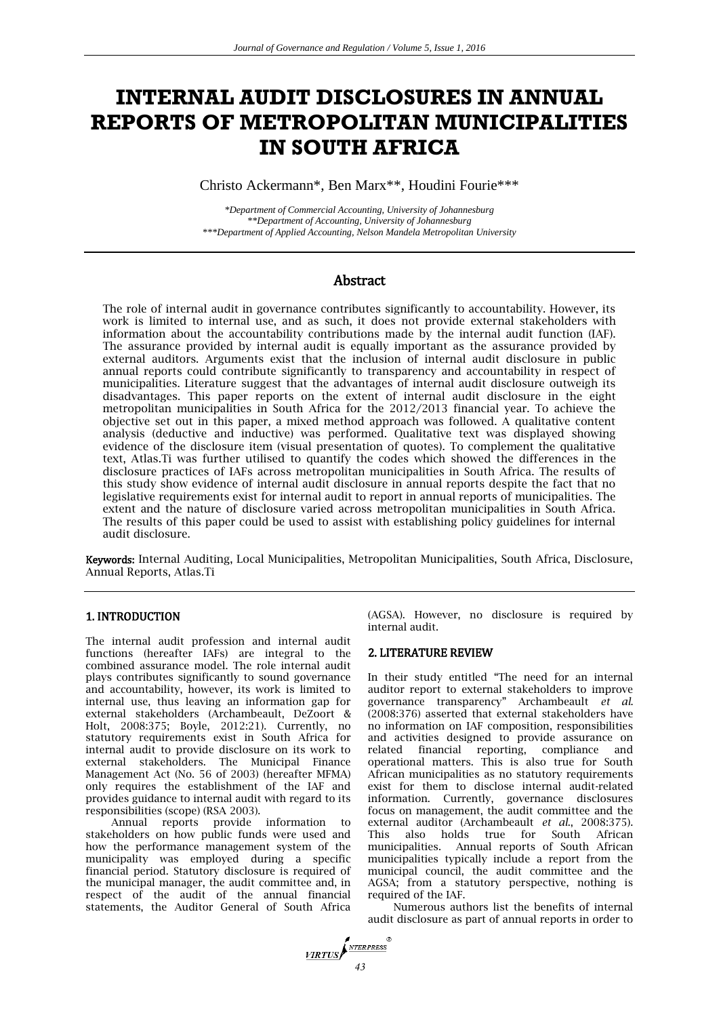# **INTERNAL AUDIT DISCLOSURES IN ANNUAL REPORTS OF METROPOLITAN MUNICIPALITIES IN SOUTH AFRICA**

Christo Ackermann\*, Ben Marx\*\*, Houdini Fourie\*\*\*

*\*Department of Commercial Accounting, University of Johannesburg \*\*Department of Accounting, University of Johannesburg \*\*\*Department of Applied Accounting, Nelson Mandela Metropolitan University*

# Abstract

The role of internal audit in governance contributes significantly to accountability. However, its work is limited to internal use, and as such, it does not provide external stakeholders with information about the accountability contributions made by the internal audit function (IAF). The assurance provided by internal audit is equally important as the assurance provided by external auditors. Arguments exist that the inclusion of internal audit disclosure in public annual reports could contribute significantly to transparency and accountability in respect of municipalities. Literature suggest that the advantages of internal audit disclosure outweigh its disadvantages. This paper reports on the extent of internal audit disclosure in the eight metropolitan municipalities in South Africa for the 2012/2013 financial year. To achieve the objective set out in this paper, a mixed method approach was followed. A qualitative content analysis (deductive and inductive) was performed. Qualitative text was displayed showing evidence of the disclosure item (visual presentation of quotes). To complement the qualitative text, Atlas.Ti was further utilised to quantify the codes which showed the differences in the disclosure practices of IAFs across metropolitan municipalities in South Africa. The results of this study show evidence of internal audit disclosure in annual reports despite the fact that no legislative requirements exist for internal audit to report in annual reports of municipalities. The extent and the nature of disclosure varied across metropolitan municipalities in South Africa. The results of this paper could be used to assist with establishing policy guidelines for internal audit disclosure.

Keywords: Internal Auditing, Local Municipalities, Metropolitan Municipalities, South Africa, Disclosure, Annual Reports, Atlas.Ti

## 1. INTRODUCTION

The internal audit profession and internal audit functions (hereafter IAFs) are integral to the combined assurance model. The role internal audit plays contributes significantly to sound governance and accountability, however, its work is limited to internal use, thus leaving an information gap for external stakeholders (Archambeault, DeZoort & Holt, 2008:375; Boyle, 2012:21). Currently, no statutory requirements exist in South Africa for internal audit to provide disclosure on its work to external stakeholders. The Municipal Finance Management Act (No. 56 of 2003) (hereafter MFMA) only requires the establishment of the IAF and provides guidance to internal audit with regard to its responsibilities (scope) (RSA 2003).

Annual reports provide information to stakeholders on how public funds were used and how the performance management system of the municipality was employed during a specific financial period. Statutory disclosure is required of the municipal manager, the audit committee and, in respect of the audit of the annual financial statements, the Auditor General of South Africa (AGSA). However, no disclosure is required by internal audit.

### 2. LITERATURE REVIEW

In their study entitled "The need for an internal auditor report to external stakeholders to improve governance transparency" Archambeault *et al*. (2008:376) asserted that external stakeholders have no information on IAF composition, responsibilities and activities designed to provide assurance on related financial reporting, compliance and operational matters. This is also true for South African municipalities as no statutory requirements exist for them to disclose internal audit-related information. Currently, governance disclosures focus on management, the audit committee and the external auditor (Archambeault *et al*., 2008:375). This also holds true for South African municipalities. Annual reports of South African municipalities typically include a report from the municipal council, the audit committee and the AGSA; from a statutory perspective, nothing is required of the IAF.

Numerous authors list the benefits of internal audit disclosure as part of annual reports in order to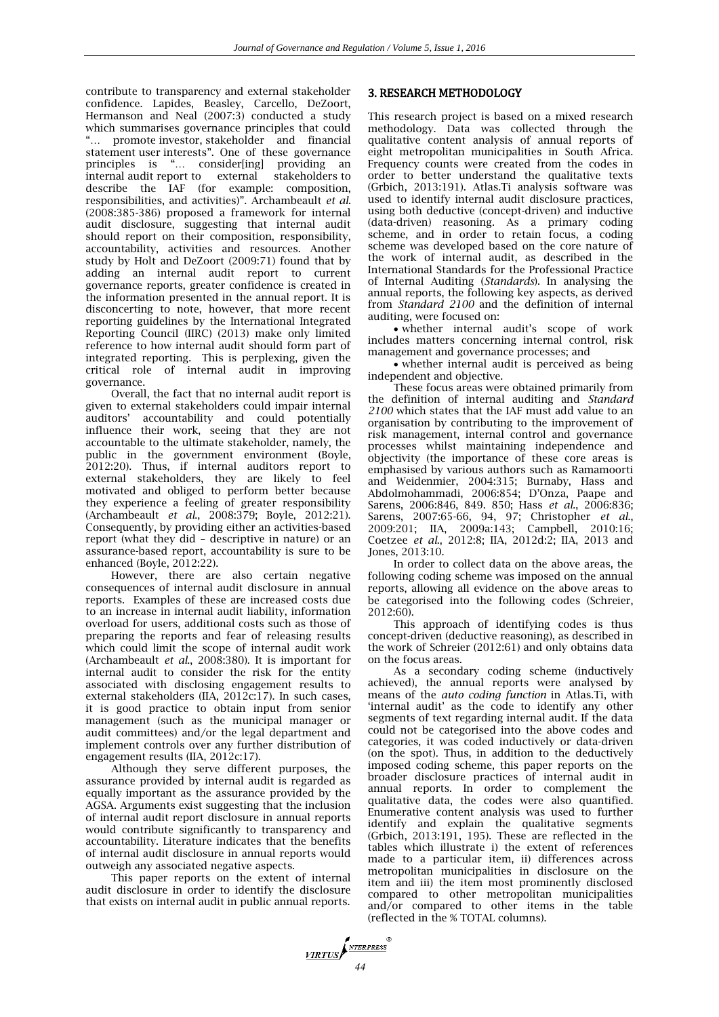contribute to transparency and external stakeholder confidence. Lapides, Beasley, Carcello, DeZoort, Hermanson and Neal (2007:3) conducted a study which summarises governance principles that could ... promote investor, stakeholder and financial statement user interests". One of these governance principles is "… consider[ing] providing an internal audit report to external stakeholders to describe the IAF (for example: composition, responsibilities, and activities)". Archambeault *et al*. (2008:385-386) proposed a framework for internal audit disclosure, suggesting that internal audit should report on their composition, responsibility, accountability, activities and resources. Another study by Holt and DeZoort (2009:71) found that by adding an internal audit report to current governance reports, greater confidence is created in the information presented in the annual report. It is disconcerting to note, however, that more recent reporting guidelines by the International Integrated Reporting Council (IIRC) (2013) make only limited reference to how internal audit should form part of integrated reporting. This is perplexing, given the critical role of internal audit in improving governance.

Overall, the fact that no internal audit report is given to external stakeholders could impair internal auditors' accountability and could potentially influence their work, seeing that they are not accountable to the ultimate stakeholder, namely, the public in the government environment (Boyle, 2012:20). Thus, if internal auditors report to external stakeholders, they are likely to feel motivated and obliged to perform better because they experience a feeling of greater responsibility (Archambeault *et al*., 2008:379; Boyle, 2012:21). Consequently, by providing either an activities-based report (what they did – descriptive in nature) or an assurance-based report, accountability is sure to be enhanced (Boyle, 2012:22).

However, there are also certain negative consequences of internal audit disclosure in annual reports. Examples of these are increased costs due to an increase in internal audit liability, information overload for users, additional costs such as those of preparing the reports and fear of releasing results which could limit the scope of internal audit work (Archambeault *et al*., 2008:380). It is important for internal audit to consider the risk for the entity associated with disclosing engagement results to external stakeholders (IIA, 2012c:17). In such cases. it is good practice to obtain input from senior management (such as the municipal manager or audit committees) and/or the legal department and implement controls over any further distribution of engagement results (IIA, 2012c:17).

Although they serve different purposes, the assurance provided by internal audit is regarded as equally important as the assurance provided by the AGSA. Arguments exist suggesting that the inclusion of internal audit report disclosure in annual reports would contribute significantly to transparency and accountability. Literature indicates that the benefits of internal audit disclosure in annual reports would outweigh any associated negative aspects.

This paper reports on the extent of internal audit disclosure in order to identify the disclosure that exists on internal audit in public annual reports.

# 3. RESEARCH METHODOLOGY

This research project is based on a mixed research methodology. Data was collected through the qualitative content analysis of annual reports of eight metropolitan municipalities in South Africa. Frequency counts were created from the codes in order to better understand the qualitative texts (Grbich, 2013:191). Atlas.Ti analysis software was used to identify internal audit disclosure practices, using both deductive (concept-driven) and inductive (data-driven) reasoning. As a primary coding scheme, and in order to retain focus, a coding scheme was developed based on the core nature of the work of internal audit, as described in the International Standards for the Professional Practice of Internal Auditing (*Standards*). In analysing the annual reports, the following key aspects, as derived from *Standard 2100* and the definition of internal auditing, were focused on:

 whether internal audit's scope of work includes matters concerning internal control, risk management and governance processes; and

 whether internal audit is perceived as being independent and objective.

These focus areas were obtained primarily from the definition of internal auditing and *Standard 2100* which states that the IAF must add value to an organisation by contributing to the improvement of risk management, internal control and governance processes whilst maintaining independence and objectivity (the importance of these core areas is emphasised by various authors such as Ramamoorti and Weidenmier, 2004:315; Burnaby, Hass and Abdolmohammadi, 2006:854; D'Onza, Paape and Sarens, 2006:846, 849. 850; Hass *et al*., 2006:836; Sarens, 2007:65-66, 94, 97; Christopher *et al*., 2009:201; IIA, 2009a:143; Campbell, 2010:16; Coetzee *et al*., 2012:8; IIA, 2012d:2; IIA, 2013 and Jones, 2013:10.

In order to collect data on the above areas, the following coding scheme was imposed on the annual reports, allowing all evidence on the above areas to be categorised into the following codes (Schreier, 2012:60).

This approach of identifying codes is thus concept-driven (deductive reasoning), as described in the work of Schreier (2012:61) and only obtains data on the focus areas.

As a secondary coding scheme (inductively achieved), the annual reports were analysed by means of the *auto coding function* in Atlas.Ti, with 'internal audit' as the code to identify any other segments of text regarding internal audit. If the data could not be categorised into the above codes and categories, it was coded inductively or data-driven (on the spot). Thus, in addition to the deductively imposed coding scheme, this paper reports on the broader disclosure practices of internal audit in annual reports. In order to complement the qualitative data, the codes were also quantified. Enumerative content analysis was used to further identify and explain the qualitative segments (Grbich, 2013:191, 195). These are reflected in the tables which illustrate i) the extent of references made to a particular item, ii) differences across metropolitan municipalities in disclosure on the item and iii) the item most prominently disclosed compared to other metropolitan municipalities and/or compared to other items in the table (reflected in the % TOTAL columns).

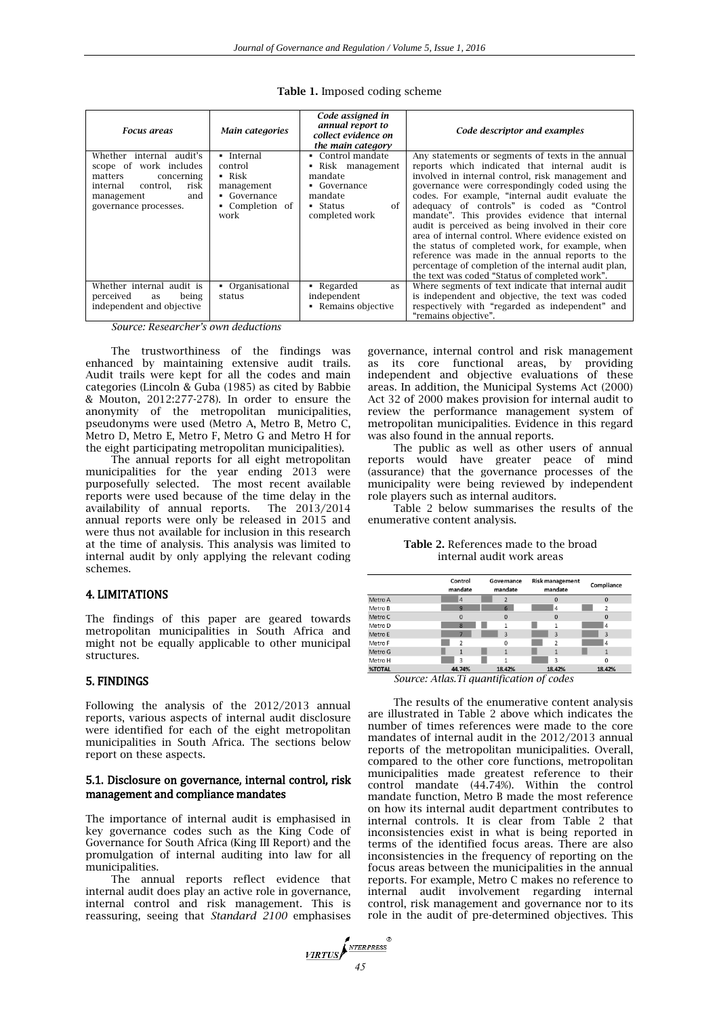| <b>Focus areas</b>                                                                                                                                        | Main categories                                                                                       | Code assigned in<br>annual report to<br>collect evidence on<br>the main category                                   | Code descriptor and examples                                                                                                                                                                                                                                                                                                                                                                                                                                                                                                                                                                                                                                                                 |
|-----------------------------------------------------------------------------------------------------------------------------------------------------------|-------------------------------------------------------------------------------------------------------|--------------------------------------------------------------------------------------------------------------------|----------------------------------------------------------------------------------------------------------------------------------------------------------------------------------------------------------------------------------------------------------------------------------------------------------------------------------------------------------------------------------------------------------------------------------------------------------------------------------------------------------------------------------------------------------------------------------------------------------------------------------------------------------------------------------------------|
| Whether internal audit's<br>scope of work includes<br>matters<br>concerning<br>control,<br>risk<br>internal<br>and<br>management<br>governance processes. | • Internal<br>control<br>$\blacksquare$ Risk<br>management<br>• Governance<br>• Completion of<br>work | • Control mandate<br>• Risk management<br>mandate<br>• Governance<br>mandate<br>of<br>$•$ Status<br>completed work | Any statements or segments of texts in the annual<br>reports which indicated that internal audit is<br>involved in internal control, risk management and<br>governance were correspondingly coded using the<br>codes. For example, "internal audit evaluate the<br>adequacy of controls" is coded as "Control<br>mandate". This provides evidence that internal<br>audit is perceived as being involved in their core<br>area of internal control. Where evidence existed on<br>the status of completed work, for example, when<br>reference was made in the annual reports to the<br>percentage of completion of the internal audit plan,<br>the text was coded "Status of completed work". |
| Whether internal audit is<br>perceived<br>being<br>as<br>independent and objective                                                                        | • Organisational<br>status                                                                            | • Regarded<br>as<br>independent<br>• Remains objective                                                             | Where segments of text indicate that internal audit<br>is independent and objective, the text was coded<br>respectively with "regarded as independent" and<br>"remains objective".                                                                                                                                                                                                                                                                                                                                                                                                                                                                                                           |

**Table 1.** Imposed coding scheme

*Source: Researcher's own deductions*

The trustworthiness of the findings was enhanced by maintaining extensive audit trails. Audit trails were kept for all the codes and main categories (Lincoln & Guba (1985) as cited by Babbie & Mouton, 2012:277-278). In order to ensure the anonymity of the metropolitan municipalities, pseudonyms were used (Metro A, Metro B, Metro C, Metro D, Metro E, Metro F, Metro G and Metro H for the eight participating metropolitan municipalities).

The annual reports for all eight metropolitan municipalities for the year ending 2013 were purposefully selected. The most recent available reports were used because of the time delay in the availability of annual reports. The 2013/2014 availability of annual reports. annual reports were only be released in 2015 and were thus not available for inclusion in this research at the time of analysis. This analysis was limited to internal audit by only applying the relevant coding schemes.

# 4. LIMITATIONS

The findings of this paper are geared towards metropolitan municipalities in South Africa and might not be equally applicable to other municipal structures.

# 5. FINDINGS

Following the analysis of the 2012/2013 annual reports, various aspects of internal audit disclosure were identified for each of the eight metropolitan municipalities in South Africa. The sections below report on these aspects.

#### 5.1. Disclosure on governance, internal control, risk management and compliance mandates

The importance of internal audit is emphasised in key governance codes such as the King Code of Governance for South Africa (King III Report) and the promulgation of internal auditing into law for all municipalities.

The annual reports reflect evidence that internal audit does play an active role in governance, internal control and risk management. This is reassuring, seeing that *Standard 2100* emphasises governance, internal control and risk management as its core functional areas, by providing independent and objective evaluations of these areas. In addition, the Municipal Systems Act (2000) Act 32 of 2000 makes provision for internal audit to review the performance management system of metropolitan municipalities. Evidence in this regard was also found in the annual reports.

The public as well as other users of annual reports would have greater peace of mind (assurance) that the governance processes of the municipality were being reviewed by independent role players such as internal auditors.

Table 2 below summarises the results of the enumerative content analysis.

**Table 2.** References made to the broad internal audit work areas

|               | Control<br>mandate       | Governance<br>mandate              | <b>Risk management</b><br>mandate | Compliance               |
|---------------|--------------------------|------------------------------------|-----------------------------------|--------------------------|
| Metro A       | $\overline{4}$           | $\overline{\phantom{a}}$           | $\Omega$                          | $\Omega$                 |
| Metro B       | 9                        | 6                                  | $\overline{4}$                    | $\overline{\phantom{a}}$ |
| Metro C       | $\bf{0}$                 | $\Omega$                           | $\Omega$                          | $\Omega$                 |
| Metro D       | 8                        |                                    | 1                                 | $\overline{4}$           |
| Metro E       | 7                        | 3                                  | $\overline{3}$                    | 3                        |
| Metro F       | $\overline{\phantom{a}}$ | $\Omega$                           | $\overline{\phantom{a}}$          | 4                        |
| Metro G       | $\mathbf{1}$             |                                    |                                   |                          |
| Metro H       | 3                        |                                    | $\overline{\mathbf{z}}$           | $\Omega$                 |
| <b>%TOTAL</b> | 44.74%                   | 18.42%                             | 18.42%                            | 18.42%                   |
| $\sim$        | $\cdots$<br>$\sim$       | $\cdot$ $\cdot$ $\alpha$<br>$\sim$ | $\epsilon$                        |                          |

*Source: Atlas.Ti quantification of codes*

The results of the enumerative content analysis are illustrated in Table 2 above which indicates the number of times references were made to the core mandates of internal audit in the 2012/2013 annual reports of the metropolitan municipalities. Overall, compared to the other core functions, metropolitan municipalities made greatest reference to their control mandate (44.74%). Within the control mandate function, Metro B made the most reference on how its internal audit department contributes to internal controls. It is clear from Table 2 that inconsistencies exist in what is being reported in terms of the identified focus areas. There are also inconsistencies in the frequency of reporting on the focus areas between the municipalities in the annual reports. For example, Metro C makes no reference to internal audit involvement regarding internal control, risk management and governance nor to its role in the audit of pre-determined objectives. This

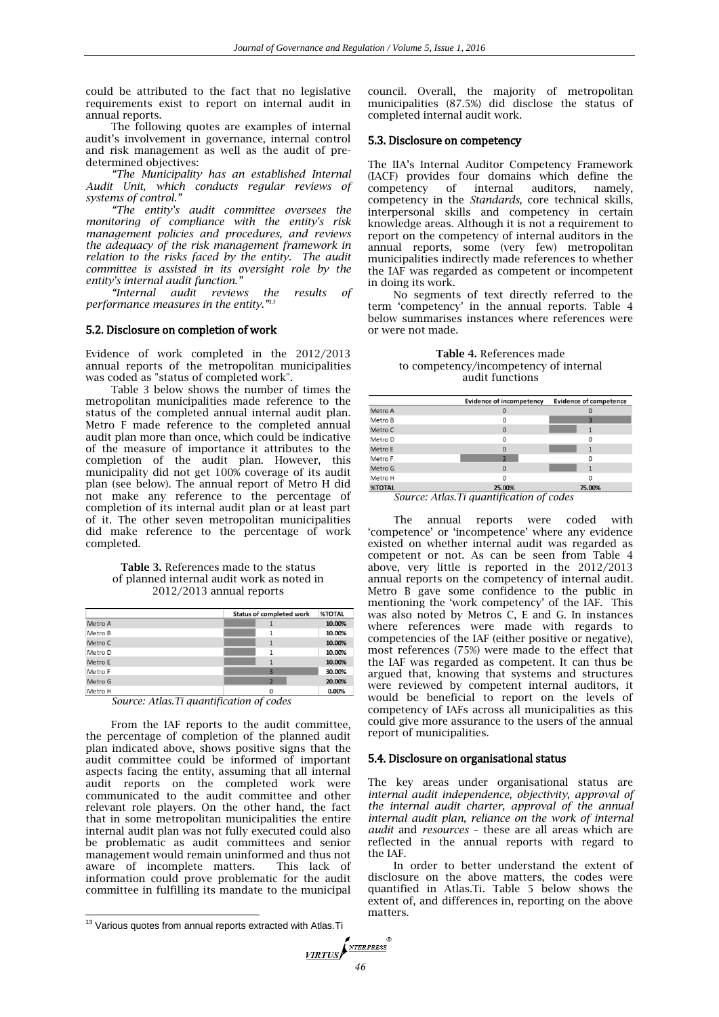could be attributed to the fact that no legislative requirements exist to report on internal audit in annual reports.

The following quotes are examples of internal audit's involvement in governance, internal control and risk management as well as the audit of predetermined objectives:

*"The Municipality has an established Internal Audit Unit, which conducts regular reviews of systems of control."*

*"The entity's audit committee oversees the monitoring of compliance with the entity's risk management policies and procedures, and reviews the adequacy of the risk management framework in relation to the risks faced by the entity. The audit committee is assisted in its oversight role by the entity's internal audit function."*

*"Internal audit reviews the results of performance measures in the entity."<sup>13</sup>*

#### 5.2. Disclosure on completion of work

Evidence of work completed in the 2012/2013 annual reports of the metropolitan municipalities was coded as "status of completed work".

Table 3 below shows the number of times the metropolitan municipalities made reference to the status of the completed annual internal audit plan. Metro F made reference to the completed annual audit plan more than once, which could be indicative of the measure of importance it attributes to the completion of the audit plan. However, this municipality did not get 100% coverage of its audit plan (see below). The annual report of Metro H did not make any reference to the percentage of completion of its internal audit plan or at least part of it. The other seven metropolitan municipalities did make reference to the percentage of work completed.

**Table 3.** References made to the status of planned internal audit work as noted in 2012/2013 annual reports

|                | <b>Status of completed work</b> | <b>%TOTAL</b> |
|----------------|---------------------------------|---------------|
| Metro A        |                                 | 10.00%        |
| Metro B        | 1                               | 10.00%        |
| Metro C        | 1                               | 10.00%        |
| Metro D        | 1                               | 10.00%        |
| Metro E        | 1                               | 10.00%        |
| Metro F        |                                 | 30.00%        |
| Metro G        | $\overline{2}$                  | 20.00%        |
| Metro H<br>$-$ | O                               | 0.00%         |

*Source: Atlas.Ti quantification of codes*

From the IAF reports to the audit committee, the percentage of completion of the planned audit plan indicated above, shows positive signs that the audit committee could be informed of important aspects facing the entity, assuming that all internal audit reports on the completed work were communicated to the audit committee and other relevant role players. On the other hand, the fact that in some metropolitan municipalities the entire internal audit plan was not fully executed could also be problematic as audit committees and senior management would remain uninformed and thus not aware of incomplete matters. This lack of information could prove problematic for the audit committee in fulfilling its mandate to the municipal

 $\overline{a}$ 

council. Overall, the majority of metropolitan municipalities (87.5%) did disclose the status of completed internal audit work.

#### 5.3. Disclosure on competency

The IIA's Internal Auditor Competency Framework (IACF) provides four domains which define the competency of internal auditors, namely, competency in the *Standards*, core technical skills, interpersonal skills and competency in certain knowledge areas. Although it is not a requirement to report on the competency of internal auditors in the annual reports, some (very few) metropolitan municipalities indirectly made references to whether the IAF was regarded as competent or incompetent in doing its work.

No segments of text directly referred to the term 'competency' in the annual reports. Table 4 below summarises instances where references were or were not made.

**Table 4.** References made to competency/incompetency of internal audit functions

|               | <b>Evidence of incompetency</b> | <b>Evidence of competence</b> |
|---------------|---------------------------------|-------------------------------|
| Metro A       | $\Omega$                        |                               |
| Metro B       | 0                               |                               |
| Metro C       | 0                               |                               |
| Metro D       | 0                               | Ω                             |
| Metro E       | $\mathbf 0$                     |                               |
| Metro F       | n                               |                               |
| Metro G       | $\mathbf 0$                     |                               |
| Metro H       | n                               |                               |
| <b>%TOTAL</b> | 25.00%                          | 75.00%                        |

*Source: Atlas.Ti quantification of codes*

The annual reports were coded with 'competence' or 'incompetence' where any evidence existed on whether internal audit was regarded as competent or not. As can be seen from Table 4 above, very little is reported in the 2012/2013 annual reports on the competency of internal audit. Metro B gave some confidence to the public in mentioning the 'work competency' of the IAF. This was also noted by Metros C, E and G. In instances where references were made with regards to competencies of the IAF (either positive or negative), most references (75%) were made to the effect that the IAF was regarded as competent. It can thus be argued that, knowing that systems and structures were reviewed by competent internal auditors, it would be beneficial to report on the levels of competency of IAFs across all municipalities as this could give more assurance to the users of the annual report of municipalities.

#### 5.4. Disclosure on organisational status

The key areas under organisational status are *internal audit independence*, *objectivity*, *approval of the internal audit charter*, *approval of the annual internal audit plan*, *reliance on the work of internal audit* and *resources* – these are all areas which are reflected in the annual reports with regard to the IAF.

In order to better understand the extent of disclosure on the above matters, the codes were quantified in Atlas.Ti. Table 5 below shows the extent of, and differences in, reporting on the above matters.

 $13$  Various quotes from annual reports extracted with Atlas. Ti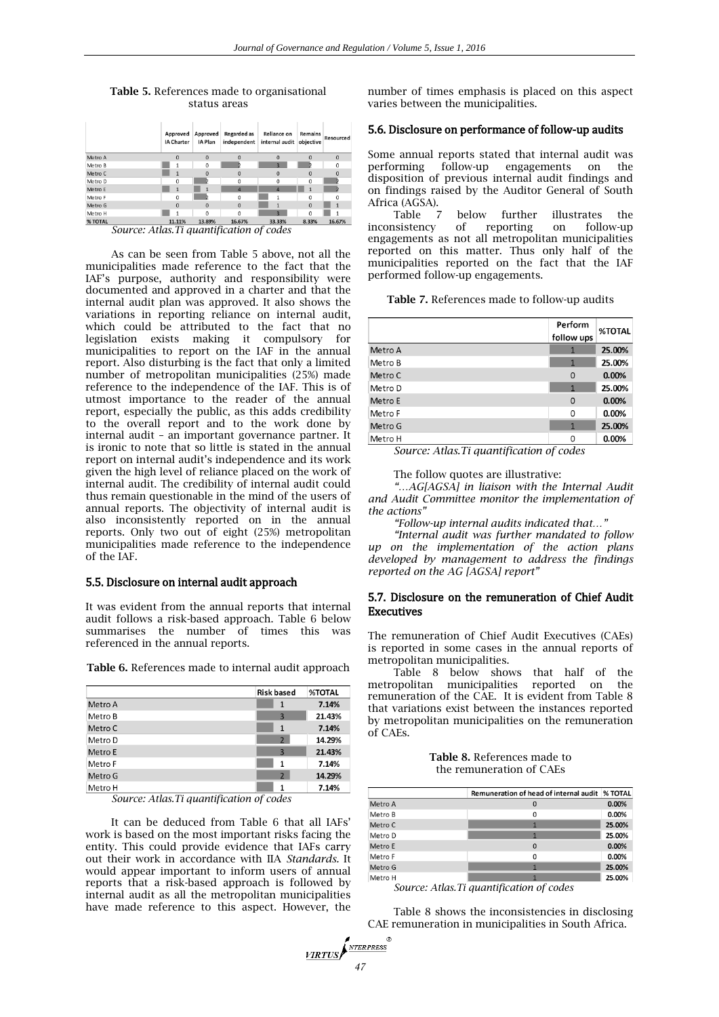|         | Approved<br><b>IA Charter</b> | Approved<br>IA Plan | Regarded as<br>independent | Reliance on<br>internal audit | Remains<br>objective | Resourced    |
|---------|-------------------------------|---------------------|----------------------------|-------------------------------|----------------------|--------------|
| Metro A | $\Omega$                      | $\mathbf{0}$        | $\Omega$                   | $\Omega$                      | $\Omega$             | $\mathbf{0}$ |
| Metro B |                               | $\mathbf 0$         |                            |                               |                      | 0            |
| Metro C |                               | $\Omega$            | $\Omega$                   | $\Omega$                      | $\Omega$             | $\mathbf 0$  |
| Metro D | 0                             |                     | $\Omega$                   | 0                             | 0                    |              |
| Metro E | $\mathbf{1}$                  |                     | 4                          | Δ                             | $\mathbf{1}$         |              |
| Metro F | $\Omega$                      |                     | $\Omega$                   |                               | $\Omega$             | O            |
| Metro G | $\Omega$                      | $\Omega$            | $\Omega$                   |                               | $\Omega$             |              |
| Metro H |                               | $\Omega$            | $\Omega$                   | $\overline{a}$                | $\mathbf{0}$         |              |
| % TOTAL | 11.11%                        | 13.89%<br>$-$       | 16.67%                     | 33.33%<br>$\sim$              | 8.33%                | 16.67%       |

**Table 5.** References made to organisational status areas

*Source: Atlas.Ti quantification of codes*

As can be seen from Table 5 above, not all the municipalities made reference to the fact that the IAF's purpose, authority and responsibility were documented and approved in a charter and that the internal audit plan was approved. It also shows the variations in reporting reliance on internal audit, which could be attributed to the fact that no legislation exists making it compulsory for municipalities to report on the IAF in the annual report. Also disturbing is the fact that only a limited number of metropolitan municipalities (25%) made reference to the independence of the IAF. This is of utmost importance to the reader of the annual report, especially the public, as this adds credibility to the overall report and to the work done by internal audit – an important governance partner. It is ironic to note that so little is stated in the annual report on internal audit's independence and its work given the high level of reliance placed on the work of internal audit. The credibility of internal audit could thus remain questionable in the mind of the users of annual reports. The objectivity of internal audit is also inconsistently reported on in the annual reports. Only two out of eight (25%) metropolitan municipalities made reference to the independence of the IAF.

#### 5.5. Disclosure on internal audit approach

It was evident from the annual reports that internal audit follows a risk-based approach. Table 6 below summarises the number of times this was referenced in the annual reports.

**Risk based %TOTAL** Metro A  $7.14%$  $\overline{1}$ Metro B  $\overline{a}$ 21.43% Metro C  $\overline{1}$ 7.14% Metro D  $\overline{2}$ 14.29% Metro E  $\overline{a}$ 21.43%

 $\overline{1}$ 

 $\overline{2}$ 

 $1\,$ 

7.14%

14.29%

7.14%

**Table 6.** References made to internal audit approach

*Source: Atlas.Ti quantification of codes*

Metro F

Metro G

Metro H

It can be deduced from Table 6 that all IAFs' work is based on the most important risks facing the entity. This could provide evidence that IAFs carry out their work in accordance with IIA *Standards.* It would appear important to inform users of annual reports that a risk-based approach is followed by internal audit as all the metropolitan municipalities have made reference to this aspect. However, the

*<u>VIRTUS</u>* 

number of times emphasis is placed on this aspect varies between the municipalities.

### 5.6. Disclosure on performance of follow-up audits

Some annual reports stated that internal audit was performing follow-up engagements on the disposition of previous internal audit findings and on findings raised by the Auditor General of South Africa (AGSA).

Table 7 below further illustrates the inconsistency of reporting on follow-up engagements as not all metropolitan municipalities reported on this matter. Thus only half of the municipalities reported on the fact that the IAF performed follow-up engagements.

**Table 7.** References made to follow-up audits

|         | Perform<br>follow ups | <b>%TOTAL</b> |
|---------|-----------------------|---------------|
| Metro A |                       | 25.00%        |
| Metro B | $\mathbf{1}$          | 25.00%        |
| Metro C | $\Omega$              | 0.00%         |
| Metro D | 1                     | 25.00%        |
| Metro E | $\Omega$              | 0.00%         |
| Metro F | 0                     | $0.00\%$      |
| Metro G | $\mathbf{1}$          | 25.00%        |
| Metro H | 0                     | 0.00%         |

*Source: Atlas.Ti quantification of codes*

The follow quotes are illustrative:

*"…AG[AGSA] in liaison with the Internal Audit and Audit Committee monitor the implementation of the actions"*

*"Follow-up internal audits indicated that…"*

*"Internal audit was further mandated to follow up on the implementation of the action plans developed by management to address the findings reported on the AG [AGSA] report"*

### 5.7. Disclosure on the remuneration of Chief Audit Executives

The remuneration of Chief Audit Executives (CAEs) is reported in some cases in the annual reports of metropolitan municipalities.

Table 8 below shows that half of the metropolitan municipalities reported on the remuneration of the CAE. It is evident from Table 8 that variations exist between the instances reported by metropolitan municipalities on the remuneration of CAEs.

#### **Table 8.** References made to the remuneration of CAEs

|         | Remuneration of head of internal audit   % TOTAL |        |
|---------|--------------------------------------------------|--------|
| Metro A | 0                                                | 0.00%  |
| Metro B | 0                                                | 0.00%  |
| Metro C |                                                  | 25.00% |
| Metro D |                                                  | 25.00% |
| Metro E | $\Omega$                                         | 0.00%  |
| Metro F | 0                                                | 0.00%  |
| Metro G |                                                  | 25.00% |
| Metro H |                                                  | 25.00% |

*Source: Atlas.Ti quantification of codes*

Table 8 shows the inconsistencies in disclosing CAE remuneration in municipalities in South Africa.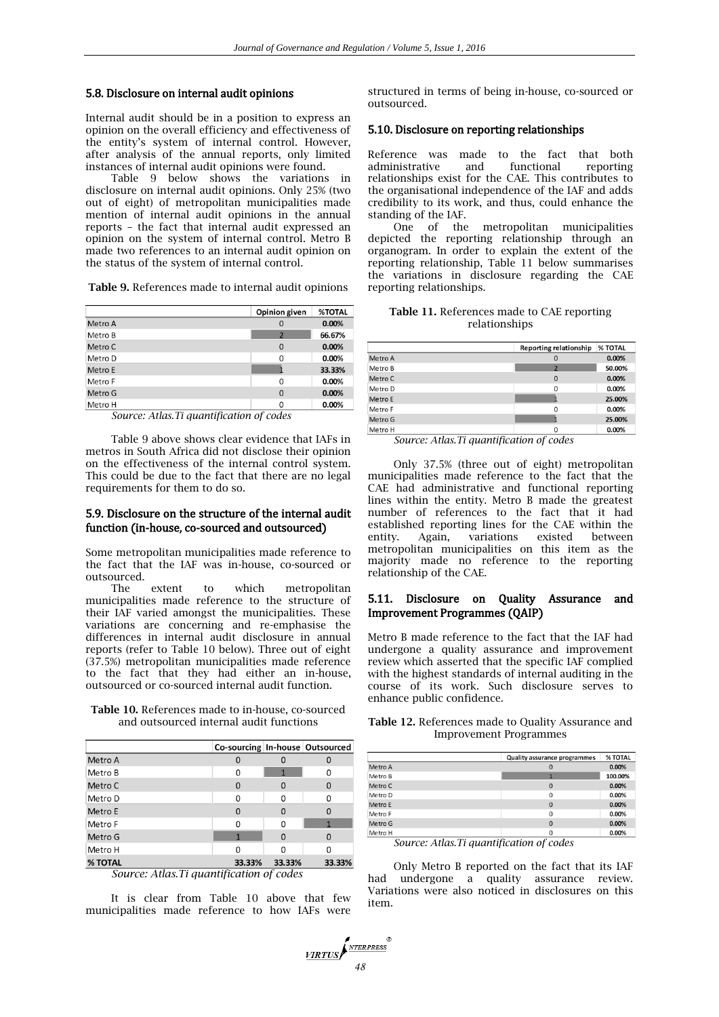## 5.8. Disclosure on internal audit opinions

Internal audit should be in a position to express an opinion on the overall efficiency and effectiveness of the entity's system of internal control. However, after analysis of the annual reports, only limited instances of internal audit opinions were found.

Table 9 below shows the variations in disclosure on internal audit opinions. Only 25% (two out of eight) of metropolitan municipalities made mention of internal audit opinions in the annual reports – the fact that internal audit expressed an opinion on the system of internal control. Metro B made two references to an internal audit opinion on the status of the system of internal control.

**Table 9.** References made to internal audit opinions

|         | Opinion given  | <b>%TOTAL</b> |
|---------|----------------|---------------|
| Metro A | 0              | 0.00%         |
| Metro B | $\overline{2}$ | 66.67%        |
| Metro C | 0              | 0.00%         |
| Metro D | $\Omega$       | 0.00%         |
| Metro E |                | 33.33%        |
| Metro F | 0              | 0.00%         |
| Metro G | $\Omega$       | 0.00%         |
| Metro H | 0              | 0.00%         |

*Source: Atlas.Ti quantification of codes*

Table 9 above shows clear evidence that IAFs in metros in South Africa did not disclose their opinion on the effectiveness of the internal control system. This could be due to the fact that there are no legal requirements for them to do so.

## 5.9. Disclosure on the structure of the internal audit function (in-house, co-sourced and outsourced)

Some metropolitan municipalities made reference to the fact that the IAF was in-house, co-sourced or outsourced.

The extent to which metropolitan municipalities made reference to the structure of their IAF varied amongst the municipalities. These variations are concerning and re-emphasise the differences in internal audit disclosure in annual reports (refer to Table 10 below). Three out of eight (37.5%) metropolitan municipalities made reference to the fact that they had either an in-house, outsourced or co-sourced internal audit function.

**Table 10.** References made to in-house, co-sourced and outsourced internal audit functions

|         | Co-sourcing In-house Outsourced |        |          |
|---------|---------------------------------|--------|----------|
| Metro A |                                 |        |          |
| Metro B | 0                               | 1      | O        |
| Metro C | 0                               | 0      | O        |
| Metro D | Ω                               | 0      | ŋ        |
| Metro E | 0                               | 0      | 0        |
| Metro F | 0                               | 0      |          |
| Metro G | 1                               | 0      | $\Omega$ |
| Metro H | Ω                               | O      |          |
| % TOTAL | 33.33%                          | 33.33% | 33.33%   |

*Source: Atlas.Ti quantification of codes*

It is clear from Table 10 above that few municipalities made reference to how IAFs were

structured in terms of being in-house, co-sourced or outsourced.

### 5.10. Disclosure on reporting relationships

Reference was made to the fact that both administrative and functional reporting relationships exist for the CAE. This contributes to the organisational independence of the IAF and adds credibility to its work, and thus, could enhance the standing of the IAF.

One of the metropolitan municipalities depicted the reporting relationship through an organogram. In order to explain the extent of the reporting relationship, Table 11 below summarises the variations in disclosure regarding the CAE reporting relationships.

**Table 11.** References made to CAE reporting relationships

|                                                  | <b>Reporting relationship</b> | % TOTAL |
|--------------------------------------------------|-------------------------------|---------|
| Metro A                                          | $\mathbf 0$                   | 0.00%   |
| Metro B                                          | $\overline{ }$                | 50.00%  |
| Metro C                                          | $\mathbf 0$                   | 0.00%   |
| Metro D                                          | $\Omega$                      | 0.00%   |
| Metro E                                          |                               | 25.00%  |
| Metro F                                          | 0                             | 0.00%   |
| Metro G                                          |                               | 25.00%  |
| Metro H<br>$\sim$ $\sim$ $\sim$<br>$\sim$ $\sim$ | $\Omega$<br>$\sqrt{2}$        | 0.00%   |

*Source: Atlas.Ti quantification of codes*

Only 37.5% (three out of eight) metropolitan municipalities made reference to the fact that the CAE had administrative and functional reporting lines within the entity. Metro B made the greatest number of references to the fact that it had established reporting lines for the CAE within the entity. Again, variations existed between metropolitan municipalities on this item as the majority made no reference to the reporting relationship of the CAE.

## 5.11. Disclosure on Quality Assurance and Improvement Programmes (QAIP)

Metro B made reference to the fact that the IAF had undergone a quality assurance and improvement review which asserted that the specific IAF complied with the highest standards of internal auditing in the course of its work. Such disclosure serves to enhance public confidence.

**Table 12.** References made to Quality Assurance and Improvement Programmes

|         | <b>Quality assurance programmes</b> | % TOTAL |
|---------|-------------------------------------|---------|
| Metro A | 0                                   | 0.00%   |
| Metro B |                                     | 100.00% |
| Metro C | $\mathbf{0}$                        | 0.00%   |
| Metro D | 0                                   | 0.00%   |
| Metro E | $\Omega$                            | 0.00%   |
| Metro F | $\Omega$                            | 0.00%   |
| Metro G | $\Omega$                            | 0.00%   |
| Metro H | 0                                   | 0.00%   |

*Source: Atlas.Ti quantification of codes*

Only Metro B reported on the fact that its IAF had undergone a quality assurance review. Variations were also noticed in disclosures on this item.

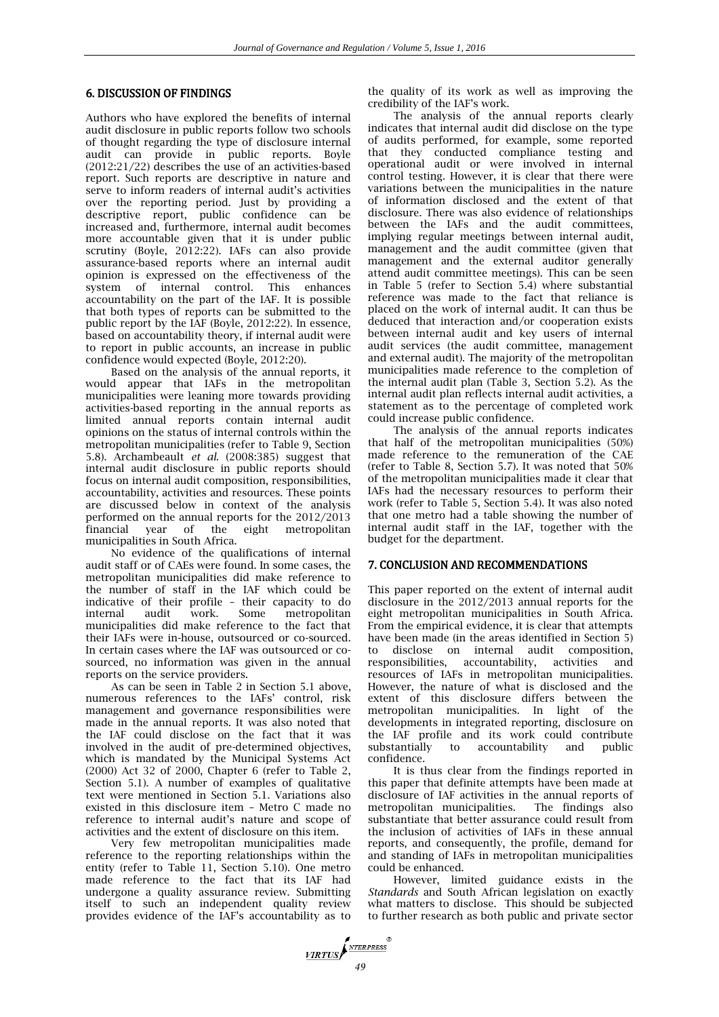## 6. DISCUSSION OF FINDINGS

Authors who have explored the benefits of internal audit disclosure in public reports follow two schools of thought regarding the type of disclosure internal audit can provide in public reports. Boyle (2012:21/22) describes the use of an activities-based report. Such reports are descriptive in nature and serve to inform readers of internal audit's activities over the reporting period. Just by providing a descriptive report, public confidence can be increased and, furthermore, internal audit becomes more accountable given that it is under public scrutiny (Boyle, 2012:22). IAFs can also provide assurance-based reports where an internal audit opinion is expressed on the effectiveness of the system of internal control. This enhances accountability on the part of the IAF. It is possible that both types of reports can be submitted to the public report by the IAF (Boyle, 2012:22). In essence, based on accountability theory, if internal audit were to report in public accounts, an increase in public confidence would expected (Boyle, 2012:20).

Based on the analysis of the annual reports, it would appear that IAFs in the metropolitan municipalities were leaning more towards providing activities-based reporting in the annual reports as limited annual reports contain internal audit opinions on the status of internal controls within the metropolitan municipalities (refer to Table 9, Section 5.8). Archambeault *et al.* (2008:385) suggest that internal audit disclosure in public reports should focus on internal audit composition, responsibilities, accountability, activities and resources. These points are discussed below in context of the analysis performed on the annual reports for the 2012/2013 financial year of the eight metropolitan municipalities in South Africa.

No evidence of the qualifications of internal audit staff or of CAEs were found. In some cases, the metropolitan municipalities did make reference to the number of staff in the IAF which could be indicative of their profile – their capacity to do internal audit work. Some metropolitan municipalities did make reference to the fact that their IAFs were in-house, outsourced or co-sourced. In certain cases where the IAF was outsourced or cosourced, no information was given in the annual reports on the service providers.

As can be seen in Table 2 in Section 5.1 above, numerous references to the IAFs' control, risk management and governance responsibilities were made in the annual reports. It was also noted that the IAF could disclose on the fact that it was involved in the audit of pre-determined objectives, which is mandated by the Municipal Systems Act (2000) Act 32 of 2000, Chapter 6 (refer to Table 2, Section 5.1). A number of examples of qualitative text were mentioned in Section 5.1. Variations also existed in this disclosure item – Metro C made no reference to internal audit's nature and scope of activities and the extent of disclosure on this item.

Very few metropolitan municipalities made reference to the reporting relationships within the entity (refer to Table 11, Section 5.10). One metro made reference to the fact that its IAF had undergone a quality assurance review. Submitting itself to such an independent quality review provides evidence of the IAF's accountability as to

the quality of its work as well as improving the credibility of the IAF's work.

The analysis of the annual reports clearly indicates that internal audit did disclose on the type of audits performed, for example, some reported that they conducted compliance testing and operational audit or were involved in internal control testing. However, it is clear that there were variations between the municipalities in the nature of information disclosed and the extent of that disclosure. There was also evidence of relationships between the IAFs and the audit committees. implying regular meetings between internal audit, management and the audit committee (given that management and the external auditor generally attend audit committee meetings). This can be seen in Table 5 (refer to Section 5.4) where substantial reference was made to the fact that reliance is placed on the work of internal audit. It can thus be deduced that interaction and/or cooperation exists between internal audit and key users of internal audit services (the audit committee, management and external audit). The majority of the metropolitan municipalities made reference to the completion of the internal audit plan (Table 3, Section 5.2). As the internal audit plan reflects internal audit activities, a statement as to the percentage of completed work could increase public confidence.

The analysis of the annual reports indicates that half of the metropolitan municipalities (50%) made reference to the remuneration of the CAE (refer to Table 8, Section 5.7). It was noted that 50% of the metropolitan municipalities made it clear that IAFs had the necessary resources to perform their work (refer to Table 5, Section 5.4). It was also noted that one metro had a table showing the number of internal audit staff in the IAF, together with the budget for the department.

## 7. CONCLUSION AND RECOMMENDATIONS

This paper reported on the extent of internal audit disclosure in the 2012/2013 annual reports for the eight metropolitan municipalities in South Africa. From the empirical evidence, it is clear that attempts have been made (in the areas identified in Section 5) to disclose on internal audit composition, responsibilities, accountability, activities and resources of IAFs in metropolitan municipalities. However, the nature of what is disclosed and the extent of this disclosure differs between the metropolitan municipalities. In light of the developments in integrated reporting, disclosure on the IAF profile and its work could contribute substantially to accountability and public confidence.

It is thus clear from the findings reported in this paper that definite attempts have been made at disclosure of IAF activities in the annual reports of metropolitan municipalities. The findings also metropolitan municipalities. substantiate that better assurance could result from the inclusion of activities of IAFs in these annual reports, and consequently, the profile, demand for and standing of IAFs in metropolitan municipalities could be enhanced.

However, limited guidance exists in the *Standards* and South African legislation on exactly what matters to disclose. This should be subjected to further research as both public and private sector